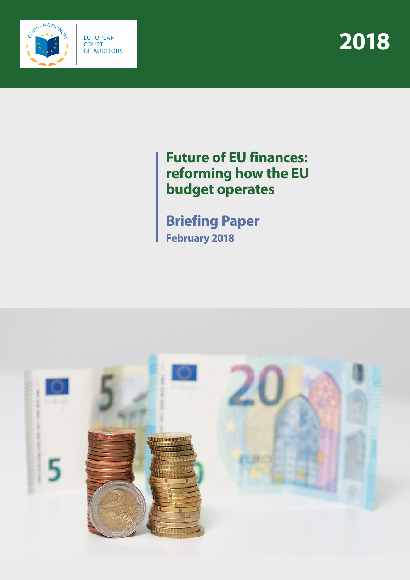



# **Future of EU finances: reforming how the EU budget operates**

**Briefing Paper February 2018**

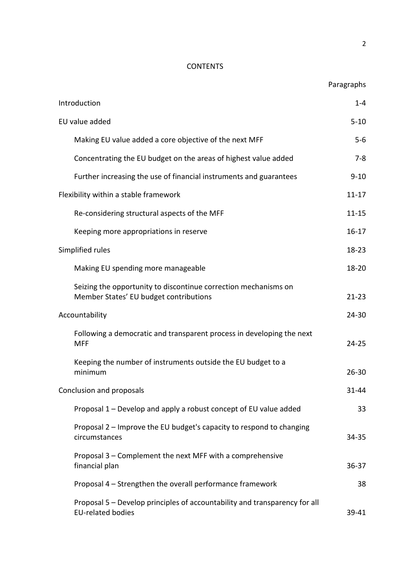# **CONTENTS**

| Introduction                                                                                              | $1 - 4$   |
|-----------------------------------------------------------------------------------------------------------|-----------|
| EU value added                                                                                            | $5 - 10$  |
| Making EU value added a core objective of the next MFF                                                    | $5 - 6$   |
| Concentrating the EU budget on the areas of highest value added                                           | $7 - 8$   |
| Further increasing the use of financial instruments and guarantees                                        | $9 - 10$  |
| Flexibility within a stable framework                                                                     | $11 - 17$ |
| Re-considering structural aspects of the MFF                                                              | $11 - 15$ |
| Keeping more appropriations in reserve                                                                    | $16 - 17$ |
| Simplified rules                                                                                          | $18 - 23$ |
| Making EU spending more manageable                                                                        | 18-20     |
| Seizing the opportunity to discontinue correction mechanisms on<br>Member States' EU budget contributions | $21 - 23$ |
| Accountability                                                                                            | 24-30     |
| Following a democratic and transparent process in developing the next<br><b>MFF</b>                       | $24 - 25$ |
| Keeping the number of instruments outside the EU budget to a<br>minimum                                   | $26 - 30$ |
| Conclusion and proposals                                                                                  | 31-44     |
| Proposal 1 – Develop and apply a robust concept of EU value added                                         | 33        |
| Proposal 2 - Improve the EU budget's capacity to respond to changing<br>circumstances                     | 34-35     |
| Proposal 3 – Complement the next MFF with a comprehensive<br>financial plan                               | 36-37     |
| Proposal 4 - Strengthen the overall performance framework                                                 | 38        |
| Proposal 5 – Develop principles of accountability and transparency for all<br><b>EU-related bodies</b>    | 39-41     |

Paragraphs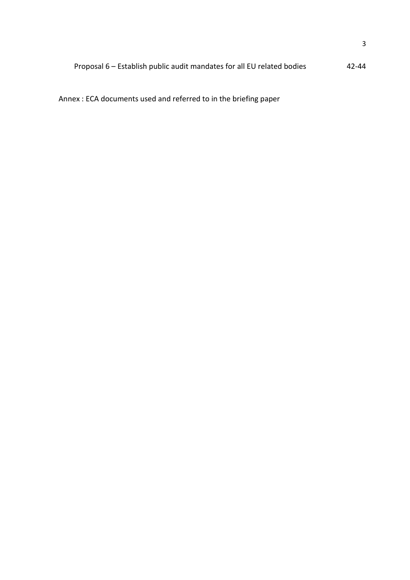# Proposal 6 – Establish public audit mandates for all EU related bodies 42-44

Annex : ECA documents used and referred to in the briefing paper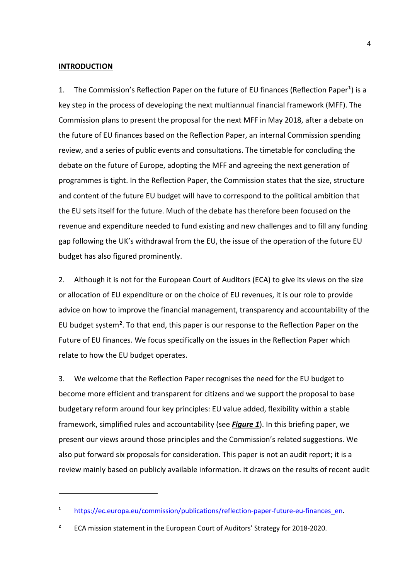#### **INTRODUCTION**

<u>.</u>

1. The Commission's Reflection Paper on the future of EU finances (Reflection Paper**[1](#page-3-0)**) is a key step in the process of developing the next multiannual financial framework (MFF). The Commission plans to present the proposal for the next MFF in May 2018, after a debate on the future of EU finances based on the Reflection Paper, an internal Commission spending review, and a series of public events and consultations. The timetable for concluding the debate on the future of Europe, adopting the MFF and agreeing the next generation of programmes is tight. In the Reflection Paper, the Commission states that the size, structure and content of the future EU budget will have to correspond to the political ambition that the EU sets itself for the future. Much of the debate has therefore been focused on the revenue and expenditure needed to fund existing and new challenges and to fill any funding gap following the UK's withdrawal from the EU, the issue of the operation of the future EU budget has also figured prominently.

2. Although it is not for the European Court of Auditors (ECA) to give its views on the size or allocation of EU expenditure or on the choice of EU revenues, it is our role to provide advice on how to improve the financial management, transparency and accountability of the EU budget system**[2](#page-3-1)**. To that end, this paper is our response to the Reflection Paper on the Future of EU finances. We focus specifically on the issues in the Reflection Paper which relate to how the EU budget operates.

3. We welcome that the Reflection Paper recognises the need for the EU budget to become more efficient and transparent for citizens and we support the proposal to base budgetary reform around four key principles: EU value added, flexibility within a stable framework, simplified rules and accountability (see *Figure 1*). In this briefing paper, we present our views around those principles and the Commission's related suggestions. We also put forward six proposals for consideration. This paper is not an audit report; it is a review mainly based on publicly available information. It draws on the results of recent audit

<span id="page-3-0"></span><sup>&</sup>lt;sup>1</sup> [https://ec.europa.eu/commission/publications/reflection-paper-future-eu-finances\\_en.](https://ec.europa.eu/commission/publications/reflection-paper-future-eu-finances_en)

<span id="page-3-1"></span>**<sup>2</sup>** ECA mission statement in the European Court of Auditors' Strategy for 2018-2020.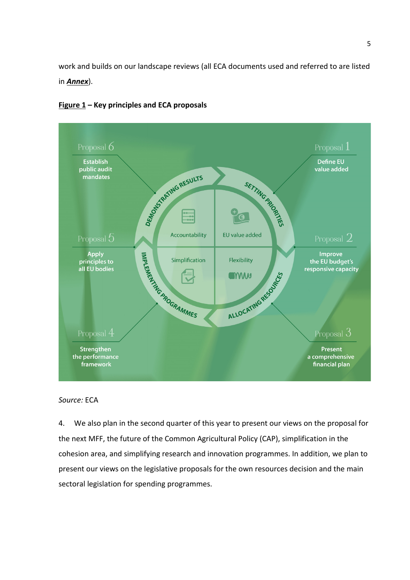work and builds on our landscape reviews (all ECA documents used and referred to are listed in *Annex*).



# **Figure 1 – Key principles and ECA proposals**

#### *Source:* ECA

<span id="page-4-0"></span>4. We also plan in the second quarter of this year to present our views on the proposal for the next MFF, the future of the Common Agricultural Policy (CAP), simplification in the cohesion area, and simplifying research and innovation programmes. In addition, we plan to present our views on the legislative proposals for the own resources decision and the main sectoral legislation for spending programmes.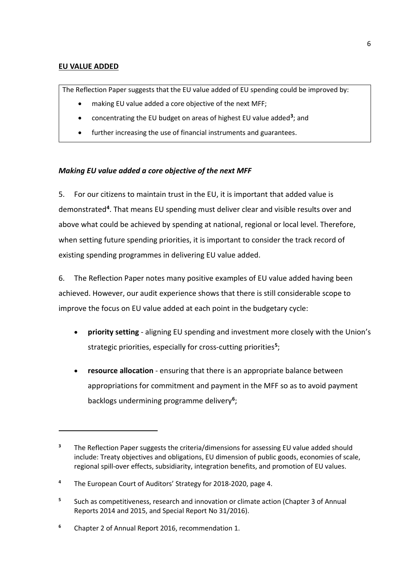# **EU VALUE ADDED**

<u>.</u>

The Reflection Paper suggests that the EU value added of EU spending could be improved by:

- making EU value added a core objective of the next MFF;
- concentrating the EU budget on areas of highest EU value added**[3](#page-5-0)**; and
- further increasing the use of financial instruments and guarantees.

# *Making EU value added a core objective of the next MFF*

5. For our citizens to maintain trust in the EU, it is important that added value is demonstrated**[4](#page-5-1)**. That means EU spending must deliver clear and visible results over and above what could be achieved by spending at national, regional or local level. Therefore, when setting future spending priorities, it is important to consider the track record of existing spending programmes in delivering EU value added.

6. The Reflection Paper notes many positive examples of EU value added having been achieved. However, our audit experience shows that there is still considerable scope to improve the focus on EU value added at each point in the budgetary cycle:

- **priority setting** aligning EU spending and investment more closely with the Union's strategic priorities, especially for cross-cutting priorities**[5](#page-5-2)**;
- **resource allocation** ensuring that there is an appropriate balance between appropriations for commitment and payment in the MFF so as to avoid payment backlogs undermining programme delivery**[6](#page-5-3)**;

<span id="page-5-0"></span><sup>&</sup>lt;sup>3</sup> The Reflection Paper suggests the criteria/dimensions for assessing EU value added should include: Treaty objectives and obligations, EU dimension of public goods, economies of scale, regional spill-over effects, subsidiarity, integration benefits, and promotion of EU values.

<span id="page-5-1"></span>**<sup>4</sup>** The European Court of Auditors' Strategy for 2018-2020, page 4.

<span id="page-5-2"></span>**<sup>5</sup>** Such as competitiveness, research and innovation or climate action (Chapter 3 of Annual Reports 2014 and 2015, and Special Report No 31/2016).

<span id="page-5-3"></span>**<sup>6</sup>** Chapter 2 of Annual Report 2016, recommendation 1.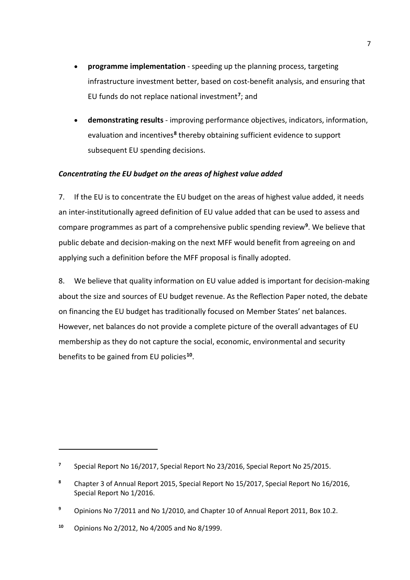- **programme implementation** speeding up the planning process, targeting infrastructure investment better, based on cost-benefit analysis, and ensuring that EU funds do not replace national investment**[7](#page-6-0)**; and
- **demonstrating results** improving performance objectives, indicators, information, evaluation and incentives**[8](#page-6-1)** thereby obtaining sufficient evidence to support subsequent EU spending decisions.

# *Concentrating the EU budget on the areas of highest value added*

7. If the EU is to concentrate the EU budget on the areas of highest value added, it needs an inter-institutionally agreed definition of EU value added that can be used to assess and compare programmes as part of a comprehensive public spending review**[9](#page-6-2)**. We believe that public debate and decision-making on the next MFF would benefit from agreeing on and applying such a definition before the MFF proposal is finally adopted.

8. We believe that quality information on EU value added is important for decision-making about the size and sources of EU budget revenue. As the Reflection Paper noted, the debate on financing the EU budget has traditionally focused on Member States' net balances. However, net balances do not provide a complete picture of the overall advantages of EU membership as they do not capture the social, economic, environmental and security benefits to be gained from EU policies**[10](#page-6-3)**.

<u>.</u>

<span id="page-6-0"></span>**<sup>7</sup>** Special Report No 16/2017, Special Report No 23/2016, Special Report No 25/2015.

<span id="page-6-1"></span>**<sup>8</sup>** Chapter 3 of Annual Report 2015, Special Report No 15/2017, Special Report No 16/2016, Special Report No 1/2016.

<span id="page-6-2"></span>**<sup>9</sup>** Opinions No 7/2011 and No 1/2010, and Chapter 10 of Annual Report 2011, Box 10.2.

<span id="page-6-3"></span>**<sup>10</sup>** Opinions No 2/2012, No 4/2005 and No 8/1999.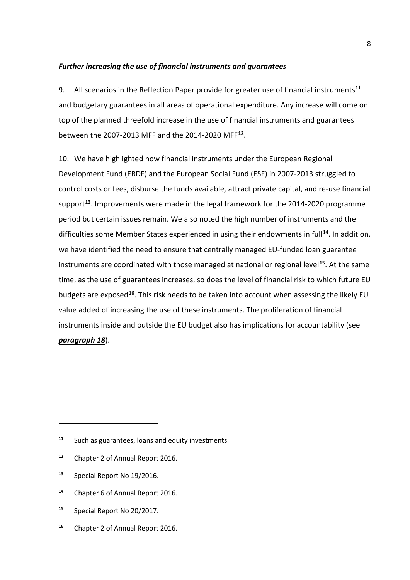#### *Further increasing the use of financial instruments and guarantees*

9. All scenarios in the Reflection Paper provide for greater use of financial instruments**[11](#page-7-0)** and budgetary guarantees in all areas of operational expenditure. Any increase will come on top of the planned threefold increase in the use of financial instruments and guarantees between the 2007-2013 MFF and the 2014-2020 MFF**[12](#page-7-1)**.

10. We have highlighted how financial instruments under the European Regional Development Fund (ERDF) and the European Social Fund (ESF) in 2007-2013 struggled to control costs or fees, disburse the funds available, attract private capital, and re-use financial support**[13](#page-7-2)**. Improvements were made in the legal framework for the 2014-2020 programme period but certain issues remain. We also noted the high number of instruments and the difficulties some Member States experienced in using their endowments in full**[14](#page-7-3)**. In addition, we have identified the need to ensure that centrally managed EU-funded loan guarantee instruments are coordinated with those managed at national or regional level**[15](#page-7-4)**. At the same time, as the use of guarantees increases, so does the level of financial risk to which future EU budgets are exposed**[16](#page-7-5)**. This risk needs to be taken into account when assessing the likely EU value added of increasing the use of these instruments. The proliferation of financial instruments inside and outside the EU budget also has implications for accountability (see *paragraph [18](#page-11-0)*).

<u>.</u>

- <span id="page-7-3"></span>**<sup>14</sup>** Chapter 6 of Annual Report 2016.
- <span id="page-7-4"></span>**<sup>15</sup>** Special Report No 20/2017.
- <span id="page-7-5"></span>**<sup>16</sup>** Chapter 2 of Annual Report 2016.

<span id="page-7-0"></span>**<sup>11</sup>** Such as guarantees, loans and equity investments.

<span id="page-7-1"></span>**<sup>12</sup>** Chapter 2 of Annual Report 2016.

<span id="page-7-2"></span>**<sup>13</sup>** Special Report No 19/2016.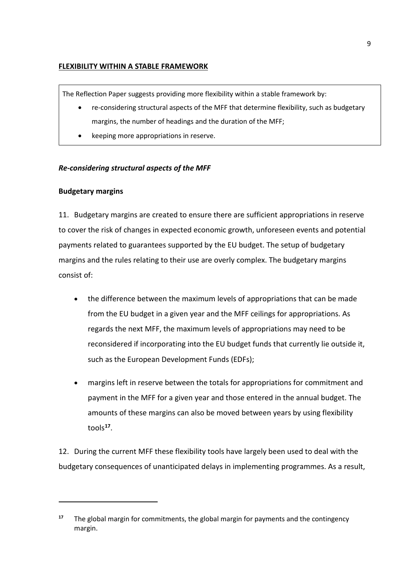#### **FLEXIBILITY WITHIN A STABLE FRAMEWORK**

The Reflection Paper suggests providing more flexibility within a stable framework by:

- re-considering structural aspects of the MFF that determine flexibility, such as budgetary margins, the number of headings and the duration of the MFF;
- keeping more appropriations in reserve.

# *Re-considering structural aspects of the MFF*

#### **Budgetary margins**

<u>.</u>

11. Budgetary margins are created to ensure there are sufficient appropriations in reserve to cover the risk of changes in expected economic growth, unforeseen events and potential payments related to guarantees supported by the EU budget. The setup of budgetary margins and the rules relating to their use are overly complex. The budgetary margins consist of:

- the difference between the maximum levels of appropriations that can be made from the EU budget in a given year and the MFF ceilings for appropriations. As regards the next MFF, the maximum levels of appropriations may need to be reconsidered if incorporating into the EU budget funds that currently lie outside it, such as the European Development Funds (EDFs);
- margins left in reserve between the totals for appropriations for commitment and payment in the MFF for a given year and those entered in the annual budget. The amounts of these margins can also be moved between years by using flexibility tools**[17](#page-8-0)**.

12. During the current MFF these flexibility tools have largely been used to deal with the budgetary consequences of unanticipated delays in implementing programmes. As a result,

<span id="page-8-0"></span>**<sup>17</sup>** The global margin for commitments, the global margin for payments and the contingency margin.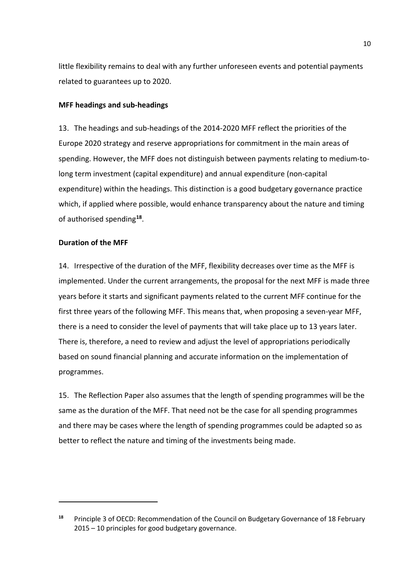little flexibility remains to deal with any further unforeseen events and potential payments related to guarantees up to 2020.

#### **MFF headings and sub-headings**

13. The headings and sub-headings of the 2014-2020 MFF reflect the priorities of the Europe 2020 strategy and reserve appropriations for commitment in the main areas of spending. However, the MFF does not distinguish between payments relating to medium-tolong term investment (capital expenditure) and annual expenditure (non-capital expenditure) within the headings. This distinction is a good budgetary governance practice which, if applied where possible, would enhance transparency about the nature and timing of authorised spending**[18](#page-9-0)**.

#### **Duration of the MFF**

<u>.</u>

14. Irrespective of the duration of the MFF, flexibility decreases over time as the MFF is implemented. Under the current arrangements, the proposal for the next MFF is made three years before it starts and significant payments related to the current MFF continue for the first three years of the following MFF. This means that, when proposing a seven-year MFF, there is a need to consider the level of payments that will take place up to 13 years later. There is, therefore, a need to review and adjust the level of appropriations periodically based on sound financial planning and accurate information on the implementation of programmes.

15. The Reflection Paper also assumes that the length of spending programmes will be the same as the duration of the MFF. That need not be the case for all spending programmes and there may be cases where the length of spending programmes could be adapted so as better to reflect the nature and timing of the investments being made.

<span id="page-9-0"></span>**<sup>18</sup>** Principle 3 of OECD: Recommendation of the Council on Budgetary Governance of 18 February 2015 – 10 principles for good budgetary governance.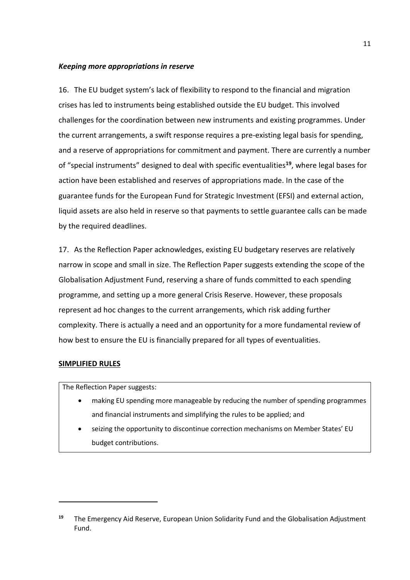#### *Keeping more appropriations in reserve*

16. The EU budget system's lack of flexibility to respond to the financial and migration crises has led to instruments being established outside the EU budget. This involved challenges for the coordination between new instruments and existing programmes. Under the current arrangements, a swift response requires a pre-existing legal basis for spending, and a reserve of appropriations for commitment and payment. There are currently a number of "special instruments" designed to deal with specific eventualities**[19](#page-10-0)**, where legal bases for action have been established and reserves of appropriations made. In the case of the guarantee funds for the European Fund for Strategic Investment (EFSI) and external action, liquid assets are also held in reserve so that payments to settle guarantee calls can be made by the required deadlines.

<span id="page-10-1"></span>17. As the Reflection Paper acknowledges, existing EU budgetary reserves are relatively narrow in scope and small in size. The Reflection Paper suggests extending the scope of the Globalisation Adjustment Fund, reserving a share of funds committed to each spending programme, and setting up a more general Crisis Reserve. However, these proposals represent ad hoc changes to the current arrangements, which risk adding further complexity. There is actually a need and an opportunity for a more fundamental review of how best to ensure the EU is financially prepared for all types of eventualities.

#### **SIMPLIFIED RULES**

<u>.</u>

The Reflection Paper suggests:

- making EU spending more manageable by reducing the number of spending programmes and financial instruments and simplifying the rules to be applied; and
- seizing the opportunity to discontinue correction mechanisms on Member States' EU budget contributions.

<span id="page-10-0"></span>**<sup>19</sup>** The Emergency Aid Reserve, European Union Solidarity Fund and the Globalisation Adjustment Fund.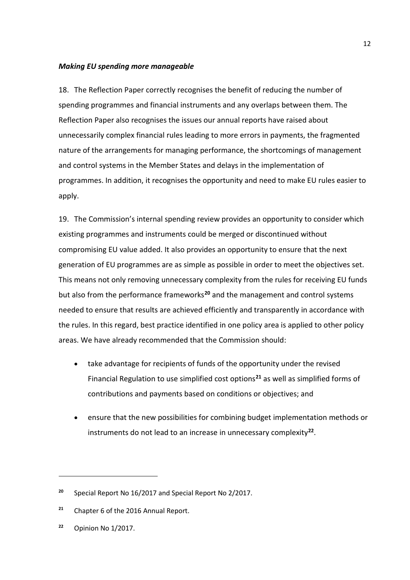#### *Making EU spending more manageable*

<span id="page-11-0"></span>18. The Reflection Paper correctly recognises the benefit of reducing the number of spending programmes and financial instruments and any overlaps between them. The Reflection Paper also recognises the issues our annual reports have raised about unnecessarily complex financial rules leading to more errors in payments, the fragmented nature of the arrangements for managing performance, the shortcomings of management and control systems in the Member States and delays in the implementation of programmes. In addition, it recognises the opportunity and need to make EU rules easier to apply.

19. The Commission's internal spending review provides an opportunity to consider which existing programmes and instruments could be merged or discontinued without compromising EU value added. It also provides an opportunity to ensure that the next generation of EU programmes are as simple as possible in order to meet the objectives set. This means not only removing unnecessary complexity from the rules for receiving EU funds but also from the performance frameworks**[20](#page-11-1)** and the management and control systems needed to ensure that results are achieved efficiently and transparently in accordance with the rules. In this regard, best practice identified in one policy area is applied to other policy areas. We have already recommended that the Commission should:

- take advantage for recipients of funds of the opportunity under the revised Financial Regulation to use simplified cost options**[21](#page-11-2)** as well as simplified forms of contributions and payments based on conditions or objectives; and
- ensure that the new possibilities for combining budget implementation methods or instruments do not lead to an increase in unnecessary complexity**[22](#page-11-3)**.

**.** 

<span id="page-11-1"></span>**<sup>20</sup>** Special Report No 16/2017 and Special Report No 2/2017.

<span id="page-11-2"></span>**<sup>21</sup>** Chapter 6 of the 2016 Annual Report.

<span id="page-11-3"></span>**<sup>22</sup>** Opinion No 1/2017.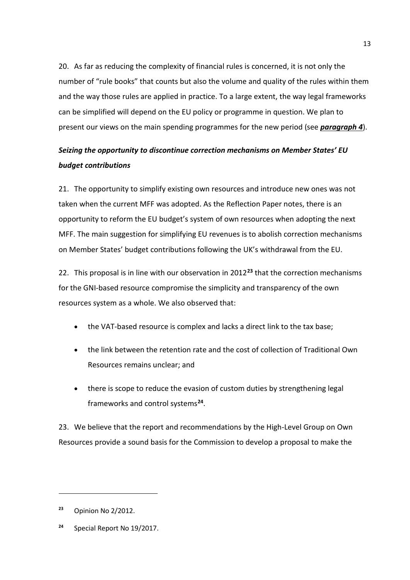<span id="page-12-2"></span>20. As far as reducing the complexity of financial rules is concerned, it is not only the number of "rule books" that counts but also the volume and quality of the rules within them and the way those rules are applied in practice. To a large extent, the way legal frameworks can be simplified will depend on the EU policy or programme in question. We plan to present our views on the main spending programmes for the new period (see *paragraph [4](#page-4-0)*).

# *Seizing the opportunity to discontinue correction mechanisms on Member States' EU budget contributions*

21. The opportunity to simplify existing own resources and introduce new ones was not taken when the current MFF was adopted. As the Reflection Paper notes, there is an opportunity to reform the EU budget's system of own resources when adopting the next MFF. The main suggestion for simplifying EU revenues is to abolish correction mechanisms on Member States' budget contributions following the UK's withdrawal from the EU.

22. This proposal is in line with our observation in 2012**[23](#page-12-0)** that the correction mechanisms for the GNI-based resource compromise the simplicity and transparency of the own resources system as a whole. We also observed that:

- the VAT-based resource is complex and lacks a direct link to the tax base;
- the link between the retention rate and the cost of collection of Traditional Own Resources remains unclear; and
- there is scope to reduce the evasion of custom duties by strengthening legal frameworks and control systems**[24](#page-12-1)**.

23. We believe that the report and recommendations by the High-Level Group on Own Resources provide a sound basis for the Commission to develop a proposal to make the

<u>.</u>

<span id="page-12-0"></span>**<sup>23</sup>** Opinion No 2/2012.

<span id="page-12-1"></span>**<sup>24</sup>** Special Report No 19/2017.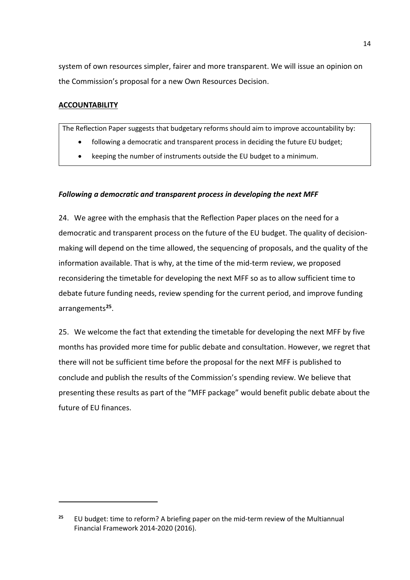system of own resources simpler, fairer and more transparent. We will issue an opinion on the Commission's proposal for a new Own Resources Decision.

# **ACCOUNTABILITY**

<u>.</u>

The Reflection Paper suggests that budgetary reforms should aim to improve accountability by:

- following a democratic and transparent process in deciding the future EU budget;
- keeping the number of instruments outside the EU budget to a minimum.

#### *Following a democratic and transparent process in developing the next MFF*

<span id="page-13-1"></span>24. We agree with the emphasis that the Reflection Paper places on the need for a democratic and transparent process on the future of the EU budget. The quality of decisionmaking will depend on the time allowed, the sequencing of proposals, and the quality of the information available. That is why, at the time of the mid-term review, we proposed reconsidering the timetable for developing the next MFF so as to allow sufficient time to debate future funding needs, review spending for the current period, and improve funding arrangements**[25](#page-13-0)**.

25. We welcome the fact that extending the timetable for developing the next MFF by five months has provided more time for public debate and consultation. However, we regret that there will not be sufficient time before the proposal for the next MFF is published to conclude and publish the results of the Commission's spending review. We believe that presenting these results as part of the "MFF package" would benefit public debate about the future of EU finances.

<span id="page-13-0"></span>**<sup>25</sup>** EU budget: time to reform? A briefing paper on the mid-term review of the Multiannual Financial Framework 2014-2020 (2016).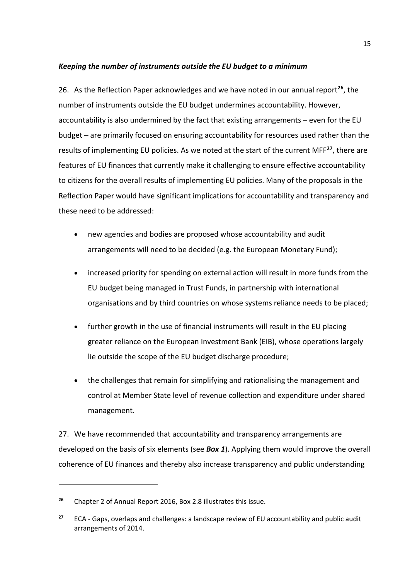# *Keeping the number of instruments outside the EU budget to a minimum*

26. As the Reflection Paper acknowledges and we have noted in our annual report**[26](#page-14-0)**, the number of instruments outside the EU budget undermines accountability. However, accountability is also undermined by the fact that existing arrangements – even for the EU budget – are primarily focused on ensuring accountability for resources used rather than the results of implementing EU policies. As we noted at the start of the current MFF**[27](#page-14-1)**, there are features of EU finances that currently make it challenging to ensure effective accountability to citizens for the overall results of implementing EU policies. Many of the proposals in the Reflection Paper would have significant implications for accountability and transparency and these need to be addressed:

- new agencies and bodies are proposed whose accountability and audit arrangements will need to be decided (e.g. the European Monetary Fund);
- increased priority for spending on external action will result in more funds from the EU budget being managed in Trust Funds, in partnership with international organisations and by third countries on whose systems reliance needs to be placed;
- further growth in the use of financial instruments will result in the EU placing greater reliance on the European Investment Bank (EIB), whose operations largely lie outside the scope of the EU budget discharge procedure;
- the challenges that remain for simplifying and rationalising the management and control at Member State level of revenue collection and expenditure under shared management.

<span id="page-14-2"></span>27. We have recommended that accountability and transparency arrangements are developed on the basis of six elements (see *Box 1*). Applying them would improve the overall coherence of EU finances and thereby also increase transparency and public understanding

**.** 

<span id="page-14-0"></span>**<sup>26</sup>** Chapter 2 of Annual Report 2016, Box 2.8 illustrates this issue.

<span id="page-14-1"></span>**<sup>27</sup>** ECA - Gaps, overlaps and challenges: a landscape review of EU accountability and public audit arrangements of 2014.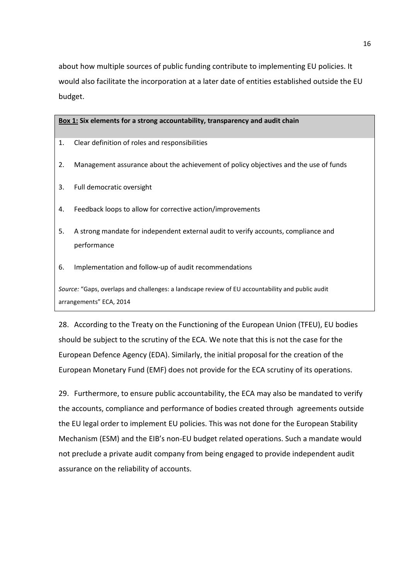about how multiple sources of public funding contribute to implementing EU policies. It would also facilitate the incorporation at a later date of entities established outside the EU budget.

#### **Box 1: Six elements for a strong accountability, transparency and audit chain**

- 1. Clear definition of roles and responsibilities
- 2. Management assurance about the achievement of policy objectives and the use of funds
- 3. Full democratic oversight
- 4. Feedback loops to allow for corrective action/improvements
- 5. A strong mandate for independent external audit to verify accounts, compliance and performance
- 6. Implementation and follow-up of audit recommendations

*Source:* "Gaps, overlaps and challenges: a landscape review of EU accountability and public audit arrangements" ECA, 2014

<span id="page-15-0"></span>28. According to the Treaty on the Functioning of the European Union (TFEU), EU bodies should be subject to the scrutiny of the ECA. We note that this is not the case for the European Defence Agency (EDA). Similarly, the initial proposal for the creation of the European Monetary Fund (EMF) does not provide for the ECA scrutiny of its operations.

29. Furthermore, to ensure public accountability, the ECA may also be mandated to verify the accounts, compliance and performance of bodies created through agreements outside the EU legal order to implement EU policies. This was not done for the European Stability Mechanism (ESM) and the EIB's non-EU budget related operations. Such a mandate would not preclude a private audit company from being engaged to provide independent audit assurance on the reliability of accounts.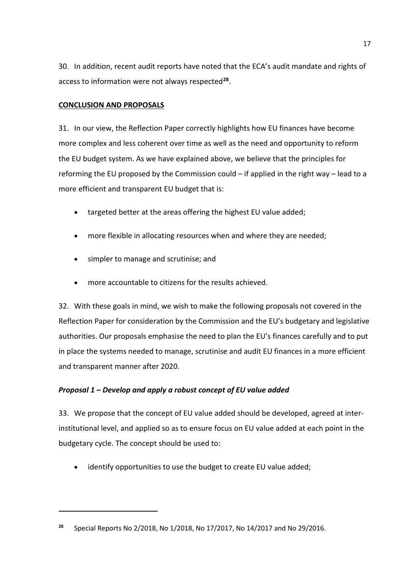30. In addition, recent audit reports have noted that the ECA's audit mandate and rights of access to information were not always respected**[28](#page-16-0)**.

# **CONCLUSION AND PROPOSALS**

<u>.</u>

31. In our view, the Reflection Paper correctly highlights how EU finances have become more complex and less coherent over time as well as the need and opportunity to reform the EU budget system. As we have explained above, we believe that the principles for reforming the EU proposed by the Commission could – if applied in the right way – lead to a more efficient and transparent EU budget that is:

- targeted better at the areas offering the highest EU value added;
- more flexible in allocating resources when and where they are needed;
- simpler to manage and scrutinise; and
- more accountable to citizens for the results achieved.

32. With these goals in mind, we wish to make the following proposals not covered in the Reflection Paper for consideration by the Commission and the EU's budgetary and legislative authorities. Our proposals emphasise the need to plan the EU's finances carefully and to put in place the systems needed to manage, scrutinise and audit EU finances in a more efficient and transparent manner after 2020.

# *Proposal 1 – Develop and apply a robust concept of EU value added*

33. We propose that the concept of EU value added should be developed, agreed at interinstitutional level, and applied so as to ensure focus on EU value added at each point in the budgetary cycle. The concept should be used to:

identify opportunities to use the budget to create EU value added;

<span id="page-16-0"></span>**<sup>28</sup>** Special Reports No 2/2018, No 1/2018, No 17/2017, No 14/2017 and No 29/2016.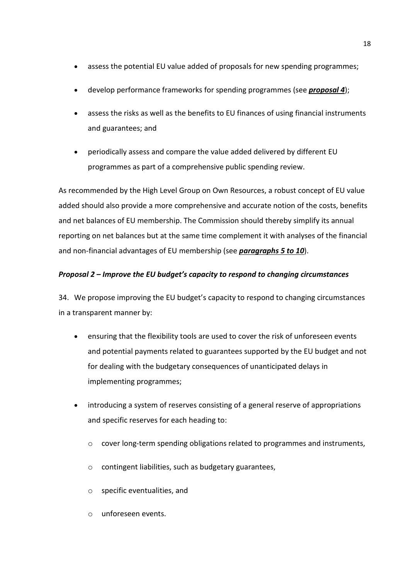- assess the potential EU value added of proposals for new spending programmes;
- develop performance frameworks for spending programmes (see *proposal 4*);
- assess the risks as well as the benefits to EU finances of using financial instruments and guarantees; and
- periodically assess and compare the value added delivered by different EU programmes as part of a comprehensive public spending review.

As recommended by the High Level Group on Own Resources, a robust concept of EU value added should also provide a more comprehensive and accurate notion of the costs, benefits and net balances of EU membership. The Commission should thereby simplify its annual reporting on net balances but at the same time complement it with analyses of the financial and non-financial advantages of EU membership (see *paragraphs 5 to 10*).

# *Proposal 2 – Improve the EU budget's capacity to respond to changing circumstances*

34. We propose improving the EU budget's capacity to respond to changing circumstances in a transparent manner by:

- ensuring that the flexibility tools are used to cover the risk of unforeseen events and potential payments related to guarantees supported by the EU budget and not for dealing with the budgetary consequences of unanticipated delays in implementing programmes;
- introducing a system of reserves consisting of a general reserve of appropriations and specific reserves for each heading to:
	- o cover long-term spending obligations related to programmes and instruments,
	- o contingent liabilities, such as budgetary guarantees,
	- o specific eventualities, and
	- o unforeseen events.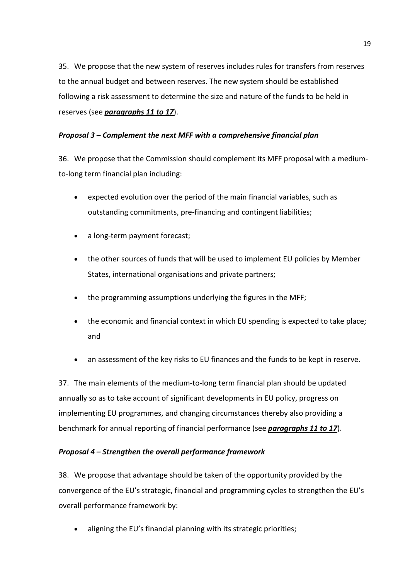35. We propose that the new system of reserves includes rules for transfers from reserves to the annual budget and between reserves. The new system should be established following a risk assessment to determine the size and nature of the funds to be held in reserves (see *paragraphs 11 to [17](#page-10-1)*).

# *Proposal 3 – Complement the next MFF with a comprehensive financial plan*

36. We propose that the Commission should complement its MFF proposal with a mediumto-long term financial plan including:

- expected evolution over the period of the main financial variables, such as outstanding commitments, pre-financing and contingent liabilities;
- a long-term payment forecast;
- the other sources of funds that will be used to implement EU policies by Member States, international organisations and private partners;
- the programming assumptions underlying the figures in the MFF;
- the economic and financial context in which EU spending is expected to take place; and
- an assessment of the key risks to EU finances and the funds to be kept in reserve.

37. The main elements of the medium-to-long term financial plan should be updated annually so as to take account of significant developments in EU policy, progress on implementing EU programmes, and changing circumstances thereby also providing a benchmark for annual reporting of financial performance (see *paragraphs 11 t[o 17](#page-10-1)*).

# *Proposal 4 – Strengthen the overall performance framework*

38. We propose that advantage should be taken of the opportunity provided by the convergence of the EU's strategic, financial and programming cycles to strengthen the EU's overall performance framework by:

• aligning the EU's financial planning with its strategic priorities;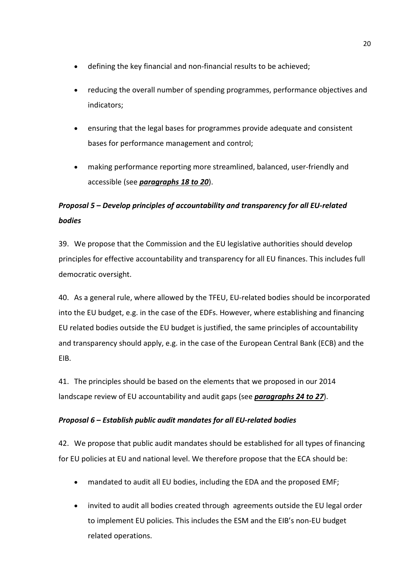- defining the key financial and non-financial results to be achieved;
- reducing the overall number of spending programmes, performance objectives and indicators;
- ensuring that the legal bases for programmes provide adequate and consistent bases for performance management and control;
- making performance reporting more streamlined, balanced, user-friendly and accessible (see *paragraphs [18](#page-11-0) t[o 20](#page-12-2)*).

# *Proposal 5 – Develop principles of accountability and transparency for all EU-related bodies*

39. We propose that the Commission and the EU legislative authorities should develop principles for effective accountability and transparency for all EU finances. This includes full democratic oversight.

40. As a general rule, where allowed by the TFEU, EU-related bodies should be incorporated into the EU budget, e.g. in the case of the EDFs. However, where establishing and financing EU related bodies outside the EU budget is justified, the same principles of accountability and transparency should apply, e.g. in the case of the European Central Bank (ECB) and the EIB.

41. The principles should be based on the elements that we proposed in our 2014 landscape review of EU accountability and audit gaps (see *paragraphs [24](#page-13-1) to [27](#page-14-2)*).

# *Proposal 6 – Establish public audit mandates for all EU-related bodies*

42. We propose that public audit mandates should be established for all types of financing for EU policies at EU and national level. We therefore propose that the ECA should be:

- mandated to audit all EU bodies, including the EDA and the proposed EMF;
- invited to audit all bodies created through agreements outside the EU legal order to implement EU policies. This includes the ESM and the EIB's non-EU budget related operations.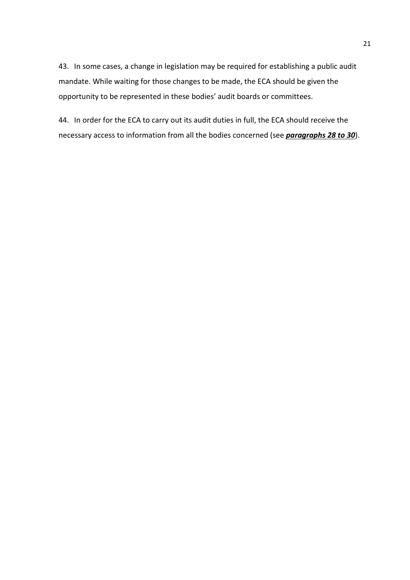43. In some cases, a change in legislation may be required for establishing a public audit mandate. While waiting for those changes to be made, the ECA should be given the opportunity to be represented in these bodies' audit boards or committees.

44. In order for the ECA to carry out its audit duties in full, the ECA should receive the necessary access to information from all the bodies concerned (see *paragraphs [28](#page-15-0) to 30*).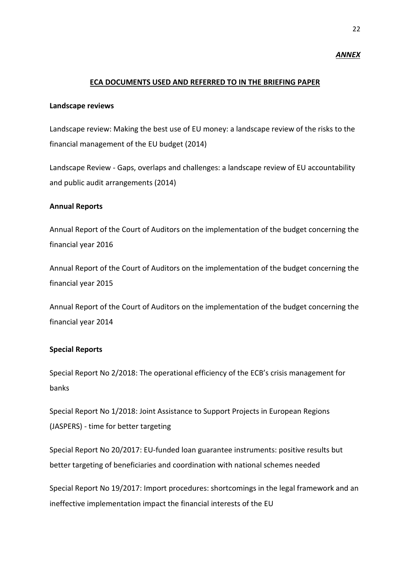#### *ANNEX*

#### **ECA DOCUMENTS USED AND REFERRED TO IN THE BRIEFING PAPER**

#### **Landscape reviews**

Landscape review: Making the best use of EU money: a landscape review of the risks to the financial management of the EU budget (2014)

Landscape Review - Gaps, overlaps and challenges: a landscape review of EU accountability and public audit arrangements (2014)

#### **Annual Reports**

Annual Report of the Court of Auditors on the implementation of the budget concerning the financial year 2016

Annual Report of the Court of Auditors on the implementation of the budget concerning the financial year 2015

Annual Report of the Court of Auditors on the implementation of the budget concerning the financial year 2014

#### **Special Reports**

Special Report No 2/2018: The operational efficiency of the ECB's crisis management for banks

Special Report No 1/2018: Joint Assistance to Support Projects in European Regions (JASPERS) - time for better targeting

Special Report No 20/2017: EU-funded loan guarantee instruments: positive results but better targeting of beneficiaries and coordination with national schemes needed

Special Report No 19/2017: Import procedures: shortcomings in the legal framework and an ineffective implementation impact the financial interests of the EU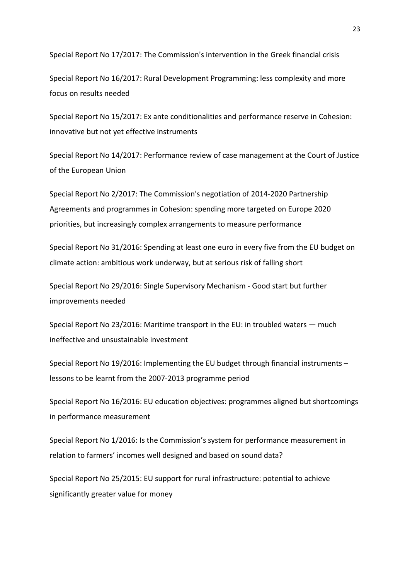Special Report No 17/2017: The Commission's intervention in the Greek financial crisis

Special Report No 16/2017: Rural Development Programming: less complexity and more focus on results needed

Special Report No 15/2017: Ex ante conditionalities and performance reserve in Cohesion: innovative but not yet effective instruments

Special Report No 14/2017: Performance review of case management at the Court of Justice of the European Union

Special Report No 2/2017: The Commission's negotiation of 2014-2020 Partnership Agreements and programmes in Cohesion: spending more targeted on Europe 2020 priorities, but increasingly complex arrangements to measure performance

Special Report No 31/2016: Spending at least one euro in every five from the EU budget on climate action: ambitious work underway, but at serious risk of falling short

Special Report No 29/2016: Single Supervisory Mechanism - Good start but further improvements needed

Special Report No 23/2016: Maritime transport in the EU: in troubled waters — much ineffective and unsustainable investment

Special Report No 19/2016: Implementing the EU budget through financial instruments – lessons to be learnt from the 2007-2013 programme period

Special Report No 16/2016: EU education objectives: programmes aligned but shortcomings in performance measurement

Special Report No 1/2016: Is the Commission's system for performance measurement in relation to farmers' incomes well designed and based on sound data?

Special Report No 25/2015: EU support for rural infrastructure: potential to achieve significantly greater value for money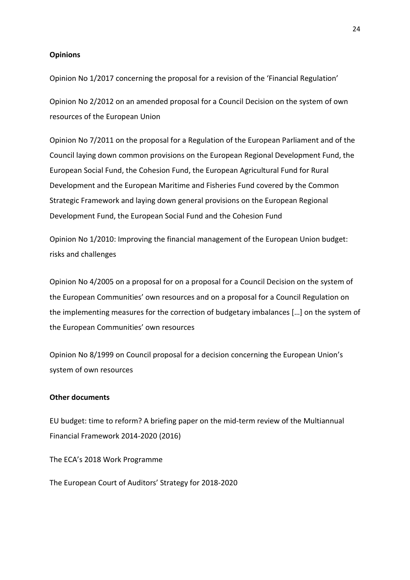#### **Opinions**

Opinion No 1/2017 concerning the proposal for a revision of the 'Financial Regulation'

Opinion No 2/2012 on an amended proposal for a Council Decision on the system of own resources of the European Union

Opinion No 7/2011 on the proposal for a Regulation of the European Parliament and of the Council laying down common provisions on the European Regional Development Fund, the European Social Fund, the Cohesion Fund, the European Agricultural Fund for Rural Development and the European Maritime and Fisheries Fund covered by the Common Strategic Framework and laying down general provisions on the European Regional Development Fund, the European Social Fund and the Cohesion Fund

Opinion No 1/2010: Improving the financial management of the European Union budget: risks and challenges

Opinion No 4/2005 on a proposal for on a proposal for a Council Decision on the system of the European Communities' own resources and on a proposal for a Council Regulation on the implementing measures for the correction of budgetary imbalances […] on the system of the European Communities' own resources

Opinion No 8/1999 on Council proposal for a decision concerning the European Union's system of own resources

#### **Other documents**

EU budget: time to reform? A briefing paper on the mid-term review of the Multiannual Financial Framework 2014-2020 (2016)

The ECA's 2018 Work Programme

The European Court of Auditors' Strategy for 2018-2020